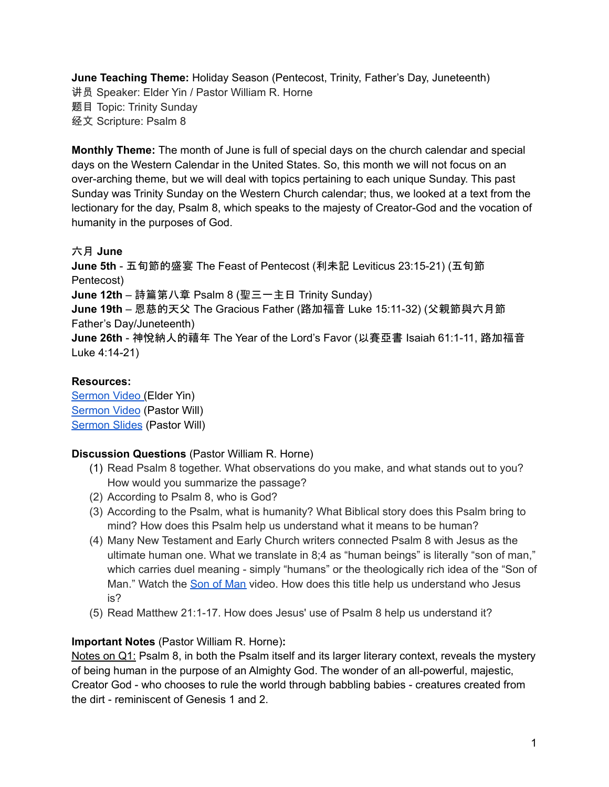**June Teaching Theme:** Holiday Season (Pentecost, Trinity, Father's Day, Juneteenth) 讲员 Speaker: Elder Yin / Pastor William R. Horne 题目 Topic: Trinity Sunday 经文 Scripture: Psalm 8

**Monthly Theme:** The month of June is full of special days on the church calendar and special days on the Western Calendar in the United States. So, this month we will not focus on an over-arching theme, but we will deal with topics pertaining to each unique Sunday. This past Sunday was Trinity Sunday on the Western Church calendar; thus, we looked at a text from the lectionary for the day, Psalm 8, which speaks to the majesty of Creator-God and the vocation of humanity in the purposes of God.

## 六月 **June**

**June 5th** - 五旬節的盛宴 The Feast of Pentecost (利未記 Leviticus 23:15-21) (五旬節 Pentecost) **June 12th** – 詩篇第八章 Psalm 8 (聖三一主日 Trinity Sunday) **June 19th** – 恩慈的天父 The Gracious Father (路加福音 Luke 15:11-32) (父親節與六月節 Father's Day/Juneteenth) **June 26th** - 神悅納人的禧年 The Year of the Lord's Favor (以賽亞書 Isaiah 61:1-11, 路加福音 Luke 4:14-21)

## **Resources:**

[Sermon](https://www.youtube.com/watch?v=yztqSRnF6mI) Video (Elder Yin) [Sermon](https://www.youtube.com/watch?v=BLMUxjyWaSk) Video (Pastor Will) [Sermon](https://docs.google.com/presentation/d/1c0Oa6r9v1tDmhOryD8HsA6Tb5fp7EBuqfd-2W-ulEkQ/edit?usp=sharing) Slides (Pastor Will)

## **Discussion Questions** (Pastor William R. Horne)

- (1) Read Psalm 8 together. What observations do you make, and what stands out to you? How would you summarize the passage?
- (2) According to Psalm 8, who is God?
- (3) According to the Psalm, what is humanity? What Biblical story does this Psalm bring to mind? How does this Psalm help us understand what it means to be human?
- (4) Many New Testament and Early Church writers connected Psalm 8 with Jesus as the ultimate human one. What we translate in 8;4 as "human beings" is literally "son of man," which carries duel meaning - simply "humans" or the theologically rich idea of the "Son of [Man](https://bibleproject.com/explore/video/son-of-man/)." Watch the Son of Man video. How does this title help us understand who Jesus is?
- (5) Read Matthew 21:1-17. How does Jesus' use of Psalm 8 help us understand it?

## **Important Notes** (Pastor William R. Horne)**:**

Notes on Q1: Psalm 8, in both the Psalm itself and its larger literary context, reveals the mystery of being human in the purpose of an Almighty God. The wonder of an all-powerful, majestic, Creator God - who chooses to rule the world through babbling babies - creatures created from the dirt - reminiscent of Genesis 1 and 2.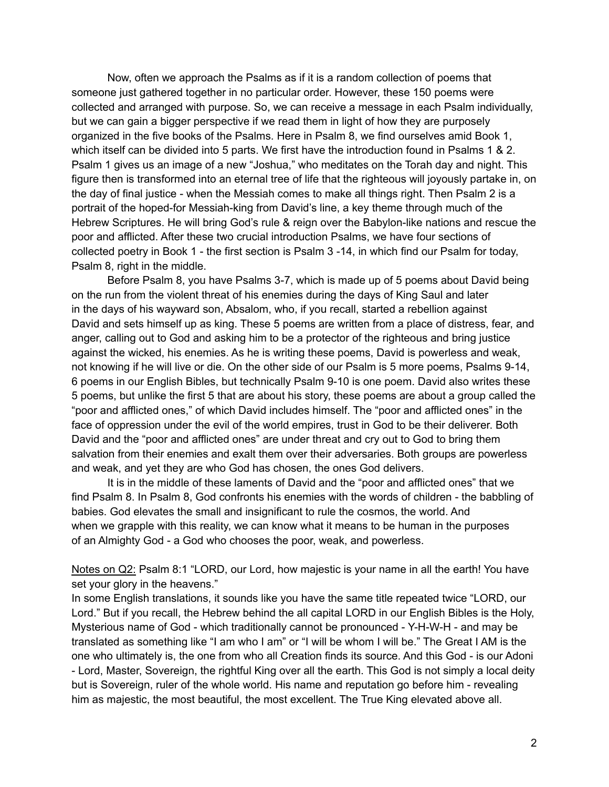Now, often we approach the Psalms as if it is a random collection of poems that someone just gathered together in no particular order. However, these 150 poems were collected and arranged with purpose. So, we can receive a message in each Psalm individually, but we can gain a bigger perspective if we read them in light of how they are purposely organized in the five books of the Psalms. Here in Psalm 8, we find ourselves amid Book 1, which itself can be divided into 5 parts. We first have the introduction found in Psalms 1 & 2. Psalm 1 gives us an image of a new "Joshua," who meditates on the Torah day and night. This figure then is transformed into an eternal tree of life that the righteous will joyously partake in, on the day of final justice - when the Messiah comes to make all things right. Then Psalm 2 is a portrait of the hoped-for Messiah-king from David's line, a key theme through much of the Hebrew Scriptures. He will bring God's rule & reign over the Babylon-like nations and rescue the poor and afflicted. After these two crucial introduction Psalms, we have four sections of collected poetry in Book 1 - the first section is Psalm 3 -14, in which find our Psalm for today, Psalm 8, right in the middle.

Before Psalm 8, you have Psalms 3-7, which is made up of 5 poems about David being on the run from the violent threat of his enemies during the days of King Saul and later in the days of his wayward son, Absalom, who, if you recall, started a rebellion against David and sets himself up as king. These 5 poems are written from a place of distress, fear, and anger, calling out to God and asking him to be a protector of the righteous and bring justice against the wicked, his enemies. As he is writing these poems, David is powerless and weak, not knowing if he will live or die. On the other side of our Psalm is 5 more poems, Psalms 9-14, 6 poems in our English Bibles, but technically Psalm 9-10 is one poem. David also writes these 5 poems, but unlike the first 5 that are about his story, these poems are about a group called the "poor and afflicted ones," of which David includes himself. The "poor and afflicted ones" in the face of oppression under the evil of the world empires, trust in God to be their deliverer. Both David and the "poor and afflicted ones" are under threat and cry out to God to bring them salvation from their enemies and exalt them over their adversaries. Both groups are powerless and weak, and yet they are who God has chosen, the ones God delivers.

It is in the middle of these laments of David and the "poor and afflicted ones" that we find Psalm 8. In Psalm 8, God confronts his enemies with the words of children - the babbling of babies. God elevates the small and insignificant to rule the cosmos, the world. And when we grapple with this reality, we can know what it means to be human in the purposes of an Almighty God - a God who chooses the poor, weak, and powerless.

Notes on Q2: Psalm 8:1 "LORD, our Lord, how majestic is your name in all the earth! You have set your glory in the heavens."

In some English translations, it sounds like you have the same title repeated twice "LORD, our Lord." But if you recall, the Hebrew behind the all capital LORD in our English Bibles is the Holy, Mysterious name of God - which traditionally cannot be pronounced - Y-H-W-H - and may be translated as something like "I am who I am" or "I will be whom I will be." The Great I AM is the one who ultimately is, the one from who all Creation finds its source. And this God - is our Adoni - Lord, Master, Sovereign, the rightful King over all the earth. This God is not simply a local deity but is Sovereign, ruler of the whole world. His name and reputation go before him - revealing him as majestic, the most beautiful, the most excellent. The True King elevated above all.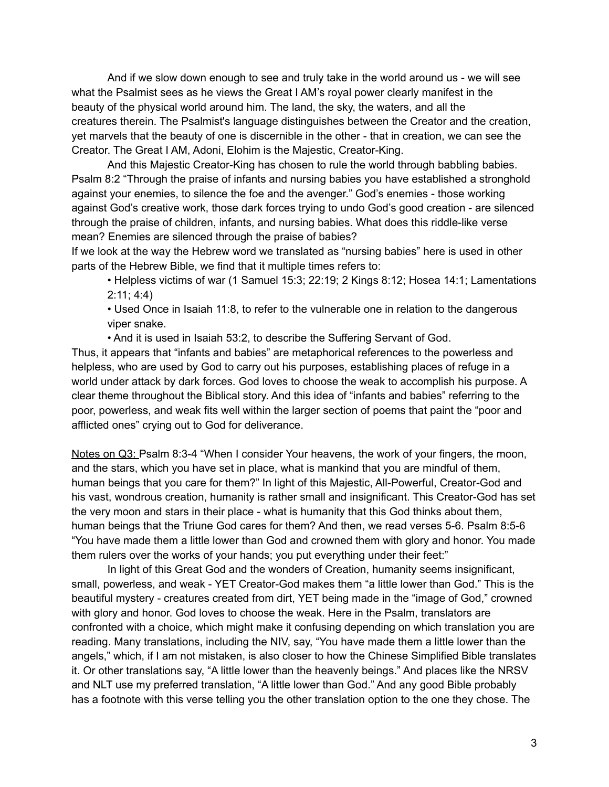And if we slow down enough to see and truly take in the world around us - we will see what the Psalmist sees as he views the Great I AM's royal power clearly manifest in the beauty of the physical world around him. The land, the sky, the waters, and all the creatures therein. The Psalmist's language distinguishes between the Creator and the creation, yet marvels that the beauty of one is discernible in the other - that in creation, we can see the Creator. The Great I AM, Adoni, Elohim is the Majestic, Creator-King.

And this Majestic Creator-King has chosen to rule the world through babbling babies. Psalm 8:2 "Through the praise of infants and nursing babies you have established a stronghold against your enemies, to silence the foe and the avenger." God's enemies - those working against God's creative work, those dark forces trying to undo God's good creation - are silenced through the praise of children, infants, and nursing babies. What does this riddle-like verse mean? Enemies are silenced through the praise of babies?

If we look at the way the Hebrew word we translated as "nursing babies" here is used in other parts of the Hebrew Bible, we find that it multiple times refers to:

• Helpless victims of war (1 Samuel 15:3; 22:19; 2 Kings 8:12; Hosea 14:1; Lamentations 2:11; 4:4)

• Used Once in Isaiah 11:8, to refer to the vulnerable one in relation to the dangerous viper snake.

• And it is used in Isaiah 53:2, to describe the Suffering Servant of God.

Thus, it appears that "infants and babies" are metaphorical references to the powerless and helpless, who are used by God to carry out his purposes, establishing places of refuge in a world under attack by dark forces. God loves to choose the weak to accomplish his purpose. A clear theme throughout the Biblical story. And this idea of "infants and babies" referring to the poor, powerless, and weak fits well within the larger section of poems that paint the "poor and afflicted ones" crying out to God for deliverance.

Notes on Q3: Psalm 8:3-4 "When I consider Your heavens, the work of your fingers, the moon, and the stars, which you have set in place, what is mankind that you are mindful of them, human beings that you care for them?" In light of this Majestic, All-Powerful, Creator-God and his vast, wondrous creation, humanity is rather small and insignificant. This Creator-God has set the very moon and stars in their place - what is humanity that this God thinks about them, human beings that the Triune God cares for them? And then, we read verses 5-6. Psalm 8:5-6 "You have made them a little lower than God and crowned them with glory and honor. You made them rulers over the works of your hands; you put everything under their feet:"

In light of this Great God and the wonders of Creation, humanity seems insignificant, small, powerless, and weak - YET Creator-God makes them "a little lower than God." This is the beautiful mystery - creatures created from dirt, YET being made in the "image of God," crowned with glory and honor. God loves to choose the weak. Here in the Psalm, translators are confronted with a choice, which might make it confusing depending on which translation you are reading. Many translations, including the NIV, say, "You have made them a little lower than the angels," which, if I am not mistaken, is also closer to how the Chinese Simplified Bible translates it. Or other translations say, "A little lower than the heavenly beings." And places like the NRSV and NLT use my preferred translation, "A little lower than God." And any good Bible probably has a footnote with this verse telling you the other translation option to the one they chose. The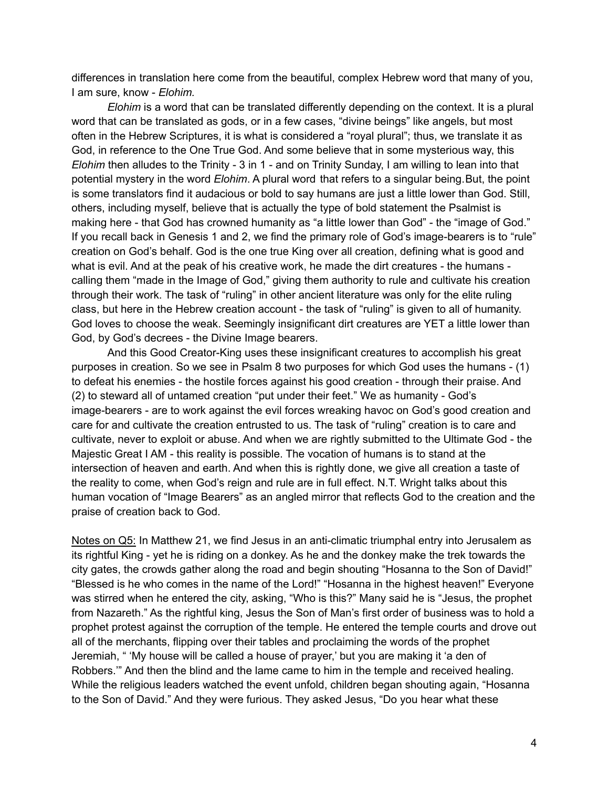differences in translation here come from the beautiful, complex Hebrew word that many of you, I am sure, know - *Elohim.*

*Elohim* is a word that can be translated differently depending on the context. It is a plural word that can be translated as gods, or in a few cases, "divine beings" like angels, but most often in the Hebrew Scriptures, it is what is considered a "royal plural"; thus, we translate it as God, in reference to the One True God. And some believe that in some mysterious way, this *Elohim* then alludes to the Trinity - 3 in 1 - and on Trinity Sunday, I am willing to lean into that potential mystery in the word *Elohim*. A plural word that refers to a singular being.But, the point is some translators find it audacious or bold to say humans are just a little lower than God. Still, others, including myself, believe that is actually the type of bold statement the Psalmist is making here - that God has crowned humanity as "a little lower than God" - the "image of God." If you recall back in Genesis 1 and 2, we find the primary role of God's image-bearers is to "rule" creation on God's behalf. God is the one true King over all creation, defining what is good and what is evil. And at the peak of his creative work, he made the dirt creatures - the humans calling them "made in the Image of God," giving them authority to rule and cultivate his creation through their work. The task of "ruling" in other ancient literature was only for the elite ruling class, but here in the Hebrew creation account - the task of "ruling" is given to all of humanity. God loves to choose the weak. Seemingly insignificant dirt creatures are YET a little lower than God, by God's decrees - the Divine Image bearers.

And this Good Creator-King uses these insignificant creatures to accomplish his great purposes in creation. So we see in Psalm 8 two purposes for which God uses the humans - (1) to defeat his enemies - the hostile forces against his good creation - through their praise. And (2) to steward all of untamed creation "put under their feet." We as humanity - God's image-bearers - are to work against the evil forces wreaking havoc on God's good creation and care for and cultivate the creation entrusted to us. The task of "ruling" creation is to care and cultivate, never to exploit or abuse. And when we are rightly submitted to the Ultimate God - the Majestic Great I AM - this reality is possible. The vocation of humans is to stand at the intersection of heaven and earth. And when this is rightly done, we give all creation a taste of the reality to come, when God's reign and rule are in full effect. N.T. Wright talks about this human vocation of "Image Bearers" as an angled mirror that reflects God to the creation and the praise of creation back to God.

Notes on Q5: In Matthew 21, we find Jesus in an anti-climatic triumphal entry into Jerusalem as its rightful King - yet he is riding on a donkey. As he and the donkey make the trek towards the city gates, the crowds gather along the road and begin shouting "Hosanna to the Son of David!" "Blessed is he who comes in the name of the Lord!" "Hosanna in the highest heaven!" Everyone was stirred when he entered the city, asking, "Who is this?" Many said he is "Jesus, the prophet from Nazareth." As the rightful king, Jesus the Son of Man's first order of business was to hold a prophet protest against the corruption of the temple. He entered the temple courts and drove out all of the merchants, flipping over their tables and proclaiming the words of the prophet Jeremiah, " 'My house will be called a house of prayer,' but you are making it 'a den of Robbers.'" And then the blind and the lame came to him in the temple and received healing. While the religious leaders watched the event unfold, children began shouting again, "Hosanna to the Son of David." And they were furious. They asked Jesus, "Do you hear what these